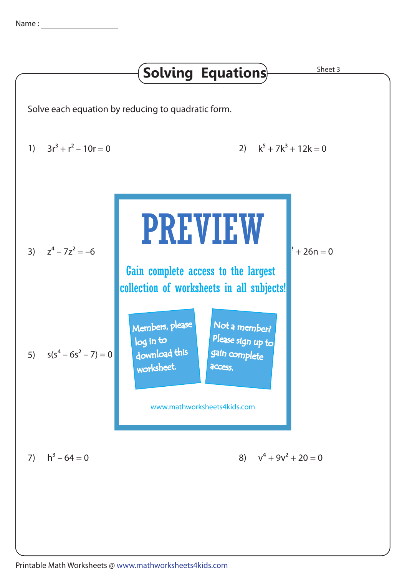